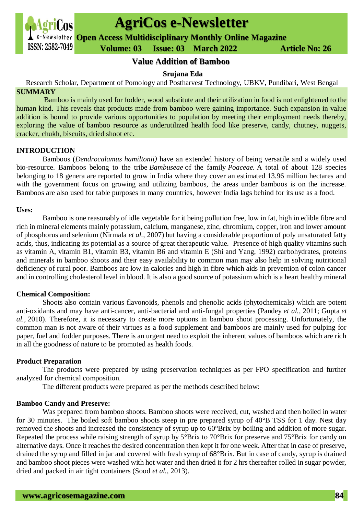

# **AgriCos e-Newsletter**

**Open Access Multidisciplinary Monthly Online Magazine**

 **Volume: 03 Issue: 03 March 2022 Article No: 26**

## **Value Addition of Bamboo**

#### **Srujana Eda**

Research Scholar, Department of Pomology and Postharvest Technology, UBKV, Pundibari, West Bengal **SUMMARY**

Bamboo is mainly used for fodder, wood substitute and their utilization in food is not enlightened to the human kind. This reveals that products made from bamboo were gaining importance. Such expansion in value addition is bound to provide various opportunities to population by meeting their employment needs thereby, exploring the value of bamboo resource as underutilized health food like preserve, candy, chutney, nuggets, cracker, chukh, biscuits, dried shoot etc.

#### **INTRODUCTION**

Bamboos (*Dendrocalamus hamiltonii)* have an extended history of being versatile and a widely used bio-resource. Bamboos belong to the tribe *Bambuseae* of the family *Poaceae.* A total of about 128 species belonging to 18 genera are reported to grow in India where they cover an estimated 13.96 million hectares and with the government focus on growing and utilizing bamboos, the areas under bamboos is on the increase. Bamboos are also used for table purposes in many countries, however India lags behind for its use as a food.

#### **Uses:**

Bamboo is one reasonably of idle vegetable for it being pollution free, low in fat, high in edible fibre and rich in mineral elements mainly potassium, calcium, manganese, zinc, chromium, copper, iron and lower amount of phosphorus and selenium (Nirmala *et al.,* 2007) but having a considerable proportion of poly unsaturated fatty acids, thus, indicating its potential as a source of great therapeutic value. Presence of high quality vitamins such as vitamin A, vitamin B1, vitamin B3, vitamin B6 and vitamin E (Shi and Yang, 1992) carbohydrates, proteins and minerals in bamboo shoots and their easy availability to common man may also help in solving nutritional deficiency of rural poor. Bamboos are low in calories and high in fibre which aids in prevention of colon cancer and in controlling cholesterol level in blood. It is also a good source of potassium which is a heart healthy mineral

### **Chemical Composition:**

Shoots also contain various flavonoids, phenols and phenolic acids (phytochemicals) which are potent anti-oxidants and may have anti-cancer, anti-bacterial and anti-fungal properties (Pandey *et al.,* 2011; Gupta *et al.,* 2010). Therefore, it is necessary to create more options in bamboo shoot processing. Unfortunately, the common man is not aware of their virtues as a food supplement and bamboos are mainly used for pulping for paper, fuel and fodder purposes. There is an urgent need to exploit the inherent values of bamboos which are rich in all the goodness of nature to be promoted as health foods.

### **Product Preparation**

The products were prepared by using preservation techniques as per FPO specification and further analyzed for chemical composition.

The different products were prepared as per the methods described below:

### **Bamboo Candy and Preserve:**

Was prepared from bamboo shoots. Bamboo shoots were received, cut, washed and then boiled in water for 30 minutes. The boiled soft bamboo shoots steep in pre prepared syrup of 40°B TSS for 1 day. Nest day removed the shoots and increased the consistency of syrup up to 60°Brix by boiling and addition of more sugar. Repeated the process while raising strength of syrup by 5°Brix to 70°Brix for preserve and 75°Brix for candy on alternative days. Once it reaches the desired concentration then kept it for one week. After that in case of preserve, drained the syrup and filled in jar and covered with fresh syrup of 68°Brix. But in case of candy, syrup is drained and bamboo shoot pieces were washed with hot water and then dried it for 2 hrs thereafter rolled in sugar powder, dried and packed in air tight containers (Sood *et al.,* 2013).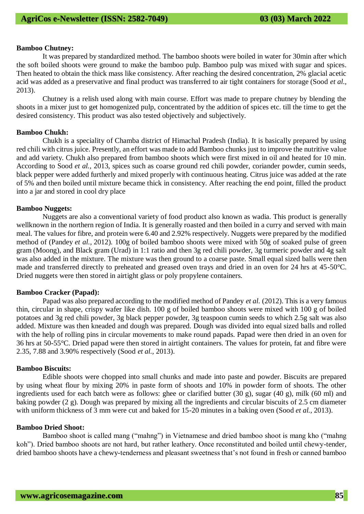#### **Bamboo Chutney:**

It was prepared by standardized method. The bamboo shoots were boiled in water for 30min after which the soft boiled shoots were ground to make the bamboo pulp. Bamboo pulp was mixed with sugar and spices. Then heated to obtain the thick mass like consistency. After reaching the desired concentration, 2% glacial acetic acid was added as a preservative and final product was transferred to air tight containers for storage (Sood *et al.,*  2013).

Chutney is a relish used along with main course. Effort was made to prepare chutney by blending the shoots in a mixer just to get homogenized pulp, concentrated by the addition of spices etc. till the time to get the desired consistency. This product was also tested objectively and subjectively.

#### **Bamboo Chukh:**

Chukh is a speciality of Chamba district of Himachal Pradesh (India). It is basically prepared by using red chili with citrus juice. Presently, an effort was made to add Bamboo chunks just to improve the nutritive value and add variety. Chukh also prepared from bamboo shoots which were first mixed in oil and heated for 10 min. According to Sood *et al.,* 2013, spices such as coarse ground red chili powder, coriander powder, cumin seeds, black pepper were added furtherly and mixed properly with continuous heating. Citrus juice was added at the rate of 5% and then boiled until mixture became thick in consistency. After reaching the end point, filled the product into a jar and stored in cool dry place

#### **Bamboo Nuggets:**

Nuggets are also a conventional variety of food product also known as wadia. This product is generally wellknown in the northern region of India. It is generally roasted and then boiled in a curry and served with main meal. The values for fibre, and protein were 6.40 and 2.92% respectively. Nuggets were prepared by the modified method of (Pandey *et al.,* 2012). 100g of boiled bamboo shoots were mixed with 50g of soaked pulse of green gram (Moong), and Black gram (Urad) in 1:1 ratio and then 3g red chili powder, 3g turmeric powder and 4g salt was also added in the mixture. The mixture was then ground to a coarse paste. Small equal sized balls were then made and transferred directly to preheated and greased oven trays and dried in an oven for 24 hrs at 45-50°C. Dried nuggets were then stored in airtight glass or poly propylene containers.

#### **Bamboo Cracker (Papad):**

Papad was also prepared according to the modified method of Pandey *et al.* (2012). This is a very famous thin, circular in shape, crispy wafer like dish. 100 g of boiled bamboo shoots were mixed with 100 g of boiled potatoes and 3g red chili powder, 3g black pepper powder, 3g teaspoon cumin seeds to which 2.5g salt was also added. Mixture was then kneaded and dough was prepared. Dough was divided into equal sized balls and rolled with the help of rolling pins in circular movements to make round papads. Papad were then dried in an oven for 36 hrs at 50-55°C. Dried papad were then stored in airtight containers. The values for protein, fat and fibre were 2.35, 7.88 and 3.90% respectively (Sood *et al.,* 2013).

#### **Bamboo Biscuits:**

Edible shoots were chopped into small chunks and made into paste and powder. Biscuits are prepared by using wheat flour by mixing 20% in paste form of shoots and 10% in powder form of shoots. The other ingredients used for each batch were as follows: ghee or clarified butter  $(30 \text{ g})$ , sugar  $(40 \text{ g})$ , milk  $(60 \text{ ml})$  and baking powder (2 g). Dough was prepared by mixing all the ingredients and circular biscuits of 2.5 cm diameter with uniform thickness of 3 mm were cut and baked for 15-20 minutes in a baking oven (Sood *et al.,* 2013).

#### **Bamboo Dried Shoot:**

Bamboo shoot is called mang ("mahng") in Vietnamese and dried bamboo shoot is mang kho ("mahng koh"). Dried bamboo shoots are not hard, but rather leathery. Once reconstituted and boiled until chewy-tender, dried bamboo shoots have a chewy-tenderness and pleasant sweetness that's not found in fresh or canned bamboo